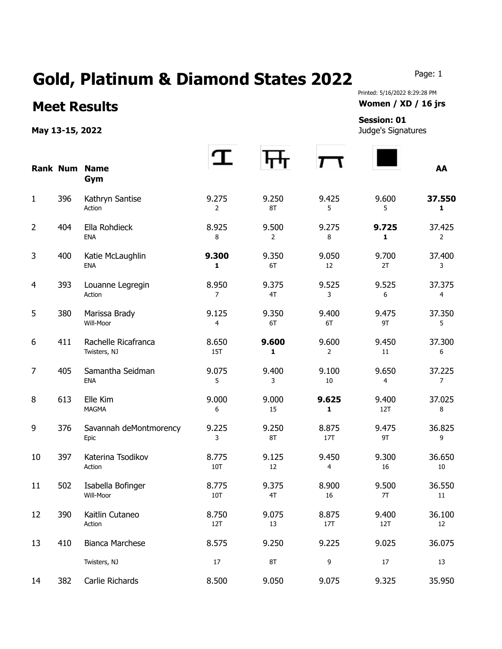## Gold, Platinum & Diamond States 2022 Page: 1

## **Meet Results Women / XD / 16 jrs**

**May 13-15, 2022** Judge's Signatures

Printed: 5/16/2022 8:29:28 PM

## **Session: 01**

|                |     | <b>Rank Num Name</b><br>Gym         |                     |                         |                         |              | AA                       |
|----------------|-----|-------------------------------------|---------------------|-------------------------|-------------------------|--------------|--------------------------|
| $\mathbf{1}$   | 396 | Kathryn Santise<br>Action           | 9.275<br>2          | 9.250<br>8T             | 9.425<br>5              | 9.600<br>5   | 37.550<br>$\mathbf{1}$   |
| $\overline{2}$ | 404 | Ella Rohdieck<br><b>ENA</b>         | 8.925<br>8          | 9.500<br>$\overline{2}$ | 9.275<br>8              | 9.725<br>1   | 37.425<br>$\overline{2}$ |
| 3              | 400 | Katie McLaughlin<br><b>ENA</b>      | 9.300<br>1          | 9.350<br>6T             | 9.050<br>12             | 9.700<br>2T  | 37.400<br>3              |
| 4              | 393 | Louanne Legregin<br>Action          | 8.950<br>7          | 9.375<br>4T             | 9.525<br>3              | 9.525<br>6   | 37.375<br>4              |
| 5              | 380 | Marissa Brady<br>Will-Moor          | 9.125<br>4          | 9.350<br>6T             | 9.400<br>6T             | 9.475<br>9T  | 37.350<br>5              |
| 6              | 411 | Rachelle Ricafranca<br>Twisters, NJ | 8.650<br><b>15T</b> | 9.600<br>1              | 9.600<br>$\overline{2}$ | 9.450<br>11  | 37.300<br>6              |
| 7              | 405 | Samantha Seidman<br><b>ENA</b>      | 9.075<br>5          | 9.400<br>3              | 9.100<br>10             | 9.650<br>4   | 37.225<br>$\overline{7}$ |
| 8              | 613 | Elle Kim<br><b>MAGMA</b>            | 9.000<br>6          | 9.000<br>15             | 9.625<br>$\mathbf{1}$   | 9.400<br>12T | 37.025<br>8              |
| 9              | 376 | Savannah deMontmorency<br>Epic      | 9.225<br>3          | 9.250<br>8T             | 8.875<br><b>17T</b>     | 9.475<br>9T  | 36.825<br>9              |
| 10             | 397 | Katerina Tsodikov<br>Action         | 8.775<br>10T        | 9.125<br>12             | 9.450<br>4              | 9.300<br>16  | 36.650<br>10             |
| 11             | 502 | Isabella Bofinger<br>Will-Moor      | 8.775<br>10T        | 9.375<br>4T             | 8.900<br>16             | 9.500<br>7T  | 36.550<br>11             |
| 12             | 390 | Kaitlin Cutaneo<br>Action           | 8.750<br>12T        | 9.075<br>13             | 8.875<br>17T            | 9.400<br>12T | 36.100<br>12             |
| 13             | 410 | Bianca Marchese                     | 8.575               | 9.250                   | 9.225                   | 9.025        | 36.075                   |
|                |     | Twisters, NJ                        | $17\,$              | $8\mathsf{T}$           | 9                       | $17\,$       | 13                       |
| 14             | 382 | Carlie Richards                     | 8.500               | 9.050                   | 9.075                   | 9.325        | 35.950                   |